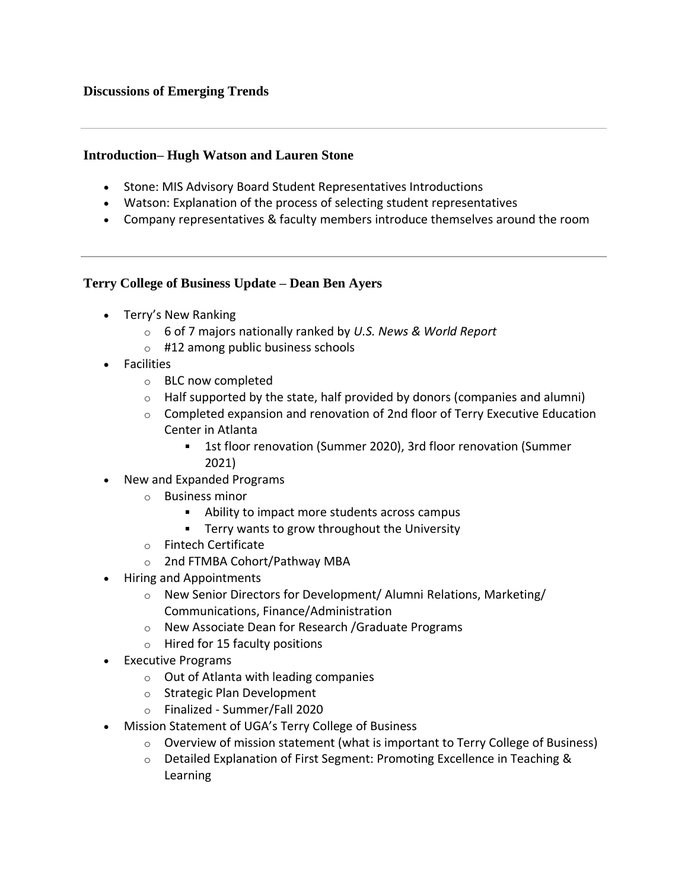#### **Introduction– Hugh Watson and Lauren Stone**

- Stone: MIS Advisory Board Student Representatives Introductions
- Watson: Explanation of the process of selecting student representatives
- Company representatives & faculty members introduce themselves around the room

#### **Terry College of Business Update – Dean Ben Ayers**

- Terry's New Ranking
	- o 6 of 7 majors nationally ranked by *U.S. News & World Report*
	- $\circ$  #12 among public business schools
- Facilities
	- o BLC now completed
	- $\circ$  Half supported by the state, half provided by donors (companies and alumni)
	- o Completed expansion and renovation of 2nd floor of Terry Executive Education Center in Atlanta
		- 1st floor renovation (Summer 2020), 3rd floor renovation (Summer 2021)
- New and Expanded Programs
	- o Business minor
		- Ability to impact more students across campus
		- **Terry wants to grow throughout the University**
	- o Fintech Certificate
	- o 2nd FTMBA Cohort/Pathway MBA
- Hiring and Appointments
	- o New Senior Directors for Development/ Alumni Relations, Marketing/ Communications, Finance/Administration
	- o New Associate Dean for Research /Graduate Programs
	- $\circ$  Hired for 15 faculty positions
- Executive Programs
	- o Out of Atlanta with leading companies
	- o Strategic Plan Development
	- o Finalized Summer/Fall 2020
- Mission Statement of UGA's Terry College of Business
	- $\circ$  Overview of mission statement (what is important to Terry College of Business)
	- o Detailed Explanation of First Segment: Promoting Excellence in Teaching & Learning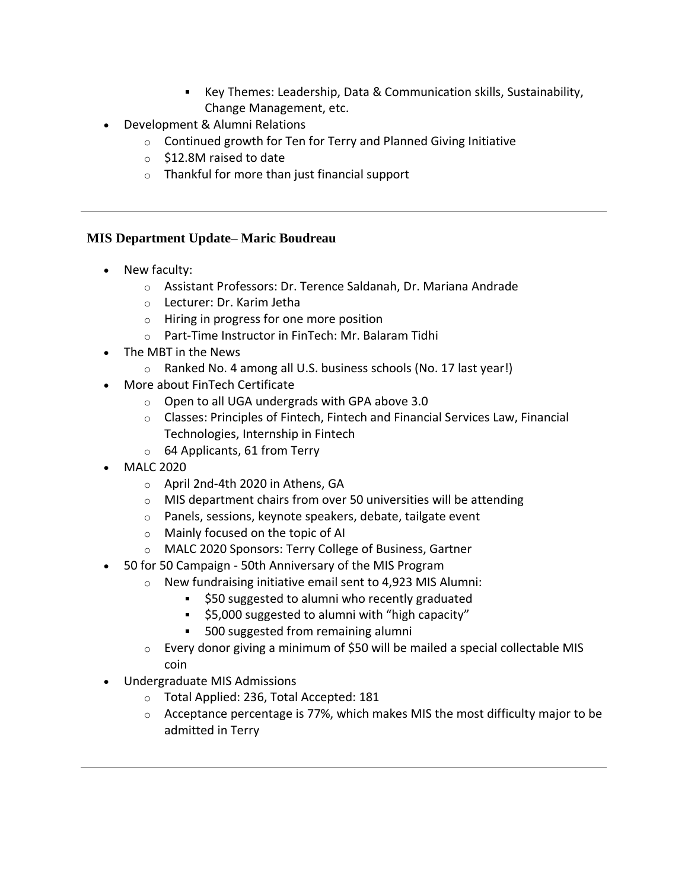- Key Themes: Leadership, Data & Communication skills, Sustainability, Change Management, etc.
- Development & Alumni Relations
	- $\circ$  Continued growth for Ten for Terry and Planned Giving Initiative
	- o \$12.8M raised to date
	- o Thankful for more than just financial support

# **MIS Department Update– Maric Boudreau**

- New faculty:
	- o Assistant Professors: Dr. Terence Saldanah, Dr. Mariana Andrade
	- o Lecturer: Dr. Karim Jetha
	- o Hiring in progress for one more position
	- o Part-Time Instructor in FinTech: Mr. Balaram Tidhi
- The MBT in the News
	- o Ranked No. 4 among all U.S. business schools (No. 17 last year!)
- More about FinTech Certificate
	- o Open to all UGA undergrads with GPA above 3.0
	- o Classes: Principles of Fintech, Fintech and Financial Services Law, Financial Technologies, Internship in Fintech
	- o 64 Applicants, 61 from Terry
- MALC 2020
	- o April 2nd-4th 2020 in Athens, GA
	- $\circ$  MIS department chairs from over 50 universities will be attending
	- o Panels, sessions, keynote speakers, debate, tailgate event
	- o Mainly focused on the topic of AI
	- o MALC 2020 Sponsors: Terry College of Business, Gartner
- 50 for 50 Campaign 50th Anniversary of the MIS Program
	- o New fundraising initiative email sent to 4,923 MIS Alumni:
		- $\mathbf{u} = \mathbf{u}$ \$50 suggested to alumni who recently graduated
		- **55,000 suggested to alumni with "high capacity"**
		- **500 suggested from remaining alumni**
	- o Every donor giving a minimum of \$50 will be mailed a special collectable MIS coin
- Undergraduate MIS Admissions
	- o Total Applied: 236, Total Accepted: 181
	- $\circ$  Acceptance percentage is 77%, which makes MIS the most difficulty major to be admitted in Terry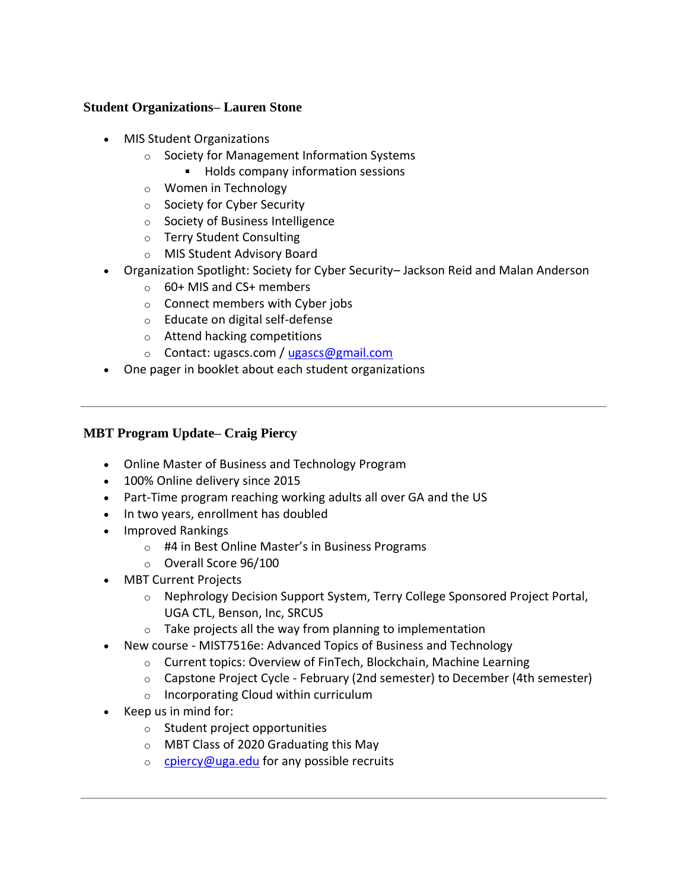# **Student Organizations– Lauren Stone**

- MIS Student Organizations
	- o Society for Management Information Systems
		- **Holds company information sessions**
	- o Women in Technology
	- o Society for Cyber Security
	- o Society of Business Intelligence
	- o Terry Student Consulting
	- o MIS Student Advisory Board
- Organization Spotlight: Society for Cyber Security– Jackson Reid and Malan Anderson
	- $\circ$  60+ MIS and CS+ members
	- o Connect members with Cyber jobs
	- o Educate on digital self-defense
	- o Attend hacking competitions
	- o Contact: ugascs.com / [ugascs@gmail.com](mailto:ugascs@gmail.com)
- One pager in booklet about each student organizations

# **MBT Program Update– Craig Piercy**

- Online Master of Business and Technology Program
- 100% Online delivery since 2015
- Part-Time program reaching working adults all over GA and the US
- In two years, enrollment has doubled
- Improved Rankings
	- o #4 in Best Online Master's in Business Programs
	- o Overall Score 96/100
- MBT Current Projects
	- o Nephrology Decision Support System, Terry College Sponsored Project Portal, UGA CTL, Benson, Inc, SRCUS
	- $\circ$  Take projects all the way from planning to implementation
- New course MIST7516e: Advanced Topics of Business and Technology
	- o Current topics: Overview of FinTech, Blockchain, Machine Learning
	- o Capstone Project Cycle February (2nd semester) to December (4th semester)
	- o Incorporating Cloud within curriculum
- Keep us in mind for:
	- o Student project opportunities
	- o MBT Class of 2020 Graduating this May
	- $\circ$  [cpiercy@uga.edu](mailto:cpiercy@uga.edu) for any possible recruits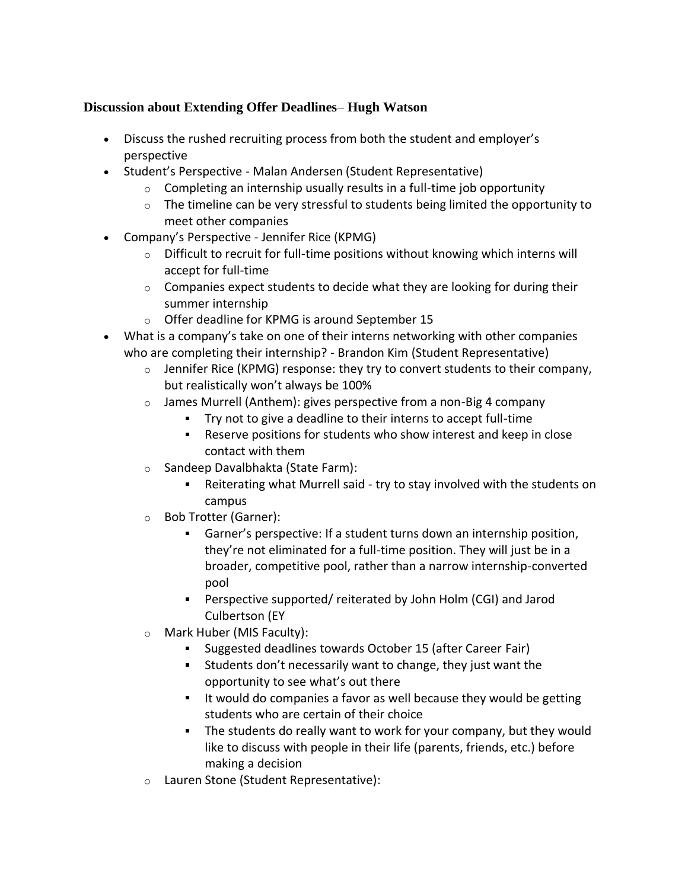# **Discussion about Extending Offer Deadlines**– **Hugh Watson**

- Discuss the rushed recruiting process from both the student and employer's perspective
- Student's Perspective Malan Andersen (Student Representative)
	- $\circ$  Completing an internship usually results in a full-time job opportunity
	- $\circ$  The timeline can be very stressful to students being limited the opportunity to meet other companies
- Company's Perspective Jennifer Rice (KPMG)
	- $\circ$  Difficult to recruit for full-time positions without knowing which interns will accept for full-time
	- $\circ$  Companies expect students to decide what they are looking for during their summer internship
	- o Offer deadline for KPMG is around September 15
- What is a company's take on one of their interns networking with other companies who are completing their internship? - Brandon Kim (Student Representative)
	- $\circ$  Jennifer Rice (KPMG) response: they try to convert students to their company, but realistically won't always be 100%
	- $\circ$  James Murrell (Anthem): gives perspective from a non-Big 4 company
		- Try not to give a deadline to their interns to accept full-time
		- Reserve positions for students who show interest and keep in close contact with them
	- o Sandeep Davalbhakta (State Farm):
		- Reiterating what Murrell said try to stay involved with the students on campus
	- o Bob Trotter (Garner):
		- Garner's perspective: If a student turns down an internship position, they're not eliminated for a full-time position. They will just be in a broader, competitive pool, rather than a narrow internship-converted pool
		- Perspective supported/ reiterated by John Holm (CGI) and Jarod Culbertson (EY
	- o Mark Huber (MIS Faculty):
		- $\mathbf{u}$ Suggested deadlines towards October 15 (after Career Fair)
		- Students don't necessarily want to change, they just want the opportunity to see what's out there
		- **If would do companies a favor as well because they would be getting** students who are certain of their choice
		- The students do really want to work for your company, but they would like to discuss with people in their life (parents, friends, etc.) before making a decision
	- o Lauren Stone (Student Representative):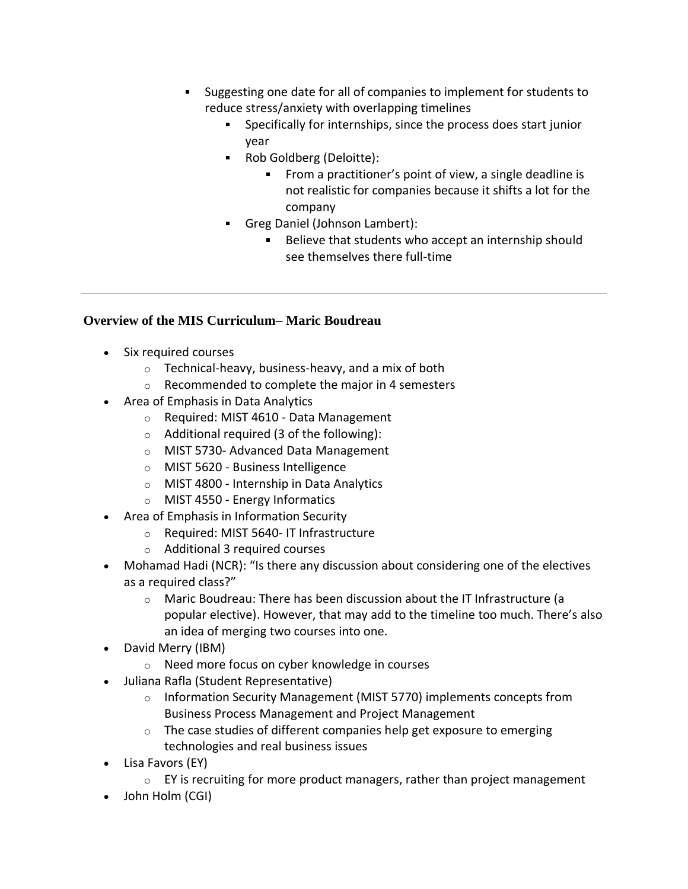- Suggesting one date for all of companies to implement for students to reduce stress/anxiety with overlapping timelines
	- $\mathbf{u}$  . Specifically for internships, since the process does start junior year
	- Rob Goldberg (Deloitte):
		- From a practitioner's point of view, a single deadline is not realistic for companies because it shifts a lot for the company
	- Greg Daniel (Johnson Lambert):
		- Believe that students who accept an internship should see themselves there full-time

#### **Overview of the MIS Curriculum**– **Maric Boudreau**

- Six required courses
	- $\circ$  Technical-heavy, business-heavy, and a mix of both
	- o Recommended to complete the major in 4 semesters
- Area of Emphasis in Data Analytics
	- o Required: MIST 4610 Data Management
	- $\circ$  Additional required (3 of the following):
	- o MIST 5730- Advanced Data Management
	- o MIST 5620 Business Intelligence
	- o MIST 4800 Internship in Data Analytics
	- o MIST 4550 Energy Informatics
- Area of Emphasis in Information Security
	- o Required: MIST 5640- IT Infrastructure
	- o Additional 3 required courses
- Mohamad Hadi (NCR): "Is there any discussion about considering one of the electives as a required class?"
	- o Maric Boudreau: There has been discussion about the IT Infrastructure (a popular elective). However, that may add to the timeline too much. There's also an idea of merging two courses into one.
- David Merry (IBM)
	- o Need more focus on cyber knowledge in courses
- Juliana Rafla (Student Representative)
	- o Information Security Management (MIST 5770) implements concepts from Business Process Management and Project Management
	- $\circ$  The case studies of different companies help get exposure to emerging technologies and real business issues
- Lisa Favors (EY)
	- $\circ$  EY is recruiting for more product managers, rather than project management
- John Holm (CGI)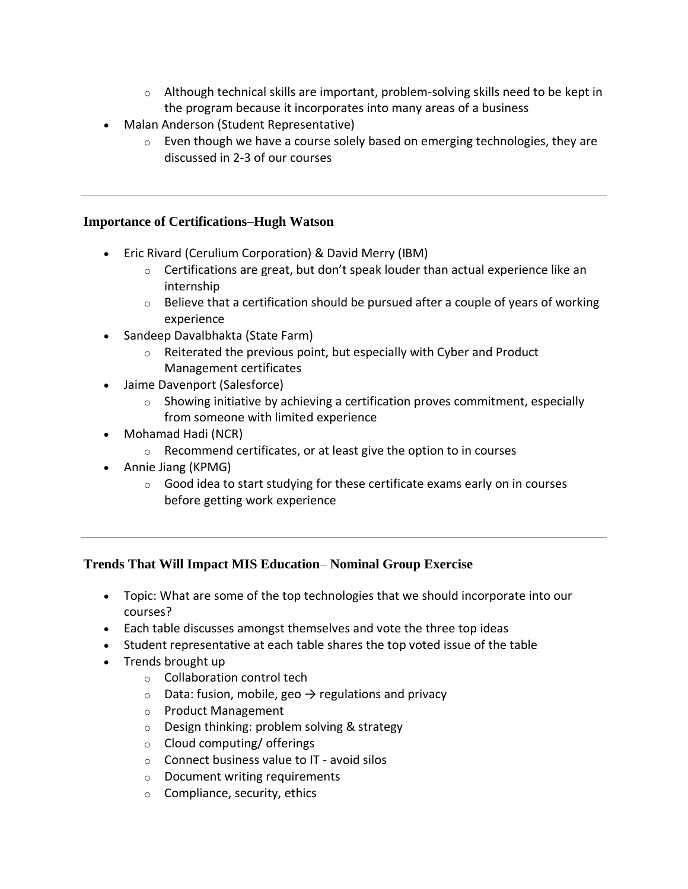- $\circ$  Although technical skills are important, problem-solving skills need to be kept in the program because it incorporates into many areas of a business
- Malan Anderson (Student Representative)
	- $\circ$  Even though we have a course solely based on emerging technologies, they are discussed in 2-3 of our courses

### **Importance of Certifications**–**Hugh Watson**

- Eric Rivard (Cerulium Corporation) & David Merry (IBM)
	- $\circ$  Certifications are great, but don't speak louder than actual experience like an internship
	- $\circ$  Believe that a certification should be pursued after a couple of years of working experience
- Sandeep Davalbhakta (State Farm)
	- $\circ$  Reiterated the previous point, but especially with Cyber and Product Management certificates
- Jaime Davenport (Salesforce)
	- $\circ$  Showing initiative by achieving a certification proves commitment, especially from someone with limited experience
- Mohamad Hadi (NCR)
	- o Recommend certificates, or at least give the option to in courses
- Annie Jiang (KPMG)
	- $\circ$  Good idea to start studying for these certificate exams early on in courses before getting work experience

# **Trends That Will Impact MIS Education**– **Nominal Group Exercise**

- Topic: What are some of the top technologies that we should incorporate into our courses?
- Each table discusses amongst themselves and vote the three top ideas
- Student representative at each table shares the top voted issue of the table
- Trends brought up
	- o Collaboration control tech
	- $\circ$  Data: fusion, mobile, geo  $\rightarrow$  regulations and privacy
	- o Product Management
	- o Design thinking: problem solving & strategy
	- o Cloud computing/ offerings
	- o Connect business value to IT avoid silos
	- o Document writing requirements
	- $\circ$  Compliance, security, ethics